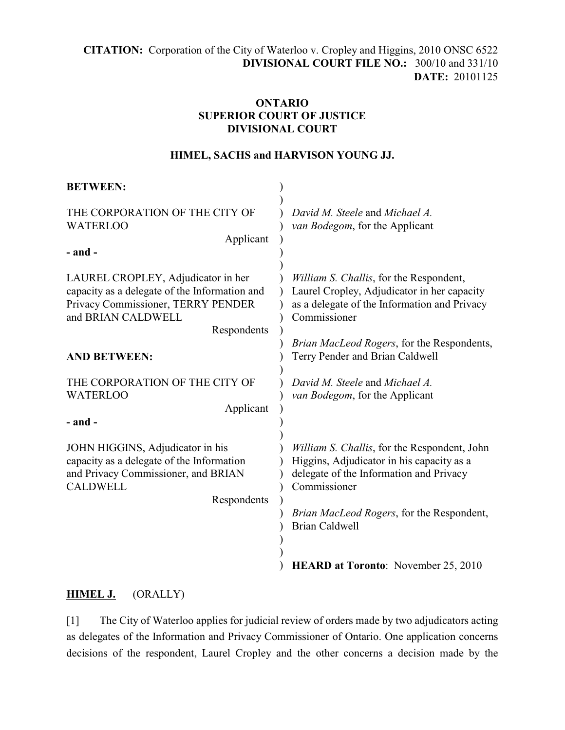**CITATION:** Corporation of the City of Waterloo v. Cropley and Higgins, 2010 ONSC 6522 **DIVISIONAL COURT FILE NO.:** 300/10 and 331/10 **DATE:** 20101125

# **ONTARIO SUPERIOR COURT OF JUSTICE DIVISIONAL COURT**

### **HIMEL, SACHS and HARVISON YOUNG JJ.**

| <b>BETWEEN:</b>                                                                                                                                                |                                                                                                                                                                                                   |
|----------------------------------------------------------------------------------------------------------------------------------------------------------------|---------------------------------------------------------------------------------------------------------------------------------------------------------------------------------------------------|
| THE CORPORATION OF THE CITY OF<br><b>WATERLOO</b><br>Applicant                                                                                                 | David M. Steele and Michael A.<br>van Bodegom, for the Applicant                                                                                                                                  |
| $-$ and $-$                                                                                                                                                    |                                                                                                                                                                                                   |
| LAUREL CROPLEY, Adjudicator in her<br>capacity as a delegate of the Information and<br>Privacy Commissioner, TERRY PENDER<br>and BRIAN CALDWELL<br>Respondents | William S. Challis, for the Respondent,<br>Laurel Cropley, Adjudicator in her capacity<br>as a delegate of the Information and Privacy<br>Commissioner                                            |
| <b>AND BETWEEN:</b>                                                                                                                                            | Brian MacLeod Rogers, for the Respondents,<br>Terry Pender and Brian Caldwell                                                                                                                     |
| THE CORPORATION OF THE CITY OF<br><b>WATERLOO</b><br>Applicant                                                                                                 | David M. Steele and Michael A.<br>van Bodegom, for the Applicant                                                                                                                                  |
| $-$ and $-$                                                                                                                                                    |                                                                                                                                                                                                   |
| JOHN HIGGINS, Adjudicator in his<br>capacity as a delegate of the Information<br>and Privacy Commissioner, and BRIAN<br><b>CALDWELL</b><br>Respondents         | William S. Challis, for the Respondent, John<br>Higgins, Adjudicator in his capacity as a<br>delegate of the Information and Privacy<br>Commissioner<br>Brian MacLeod Rogers, for the Respondent, |
|                                                                                                                                                                | <b>Brian Caldwell</b>                                                                                                                                                                             |
|                                                                                                                                                                | <b>HEARD at Toronto:</b> November 25, 2010                                                                                                                                                        |

## **HIMEL J.** (ORALLY)

[1] The City of Waterloo applies for judicial review of orders made by two adjudicators acting as delegates of the Information and Privacy Commissioner of Ontario. One application concerns decisions of the respondent, Laurel Cropley and the other concerns a decision made by the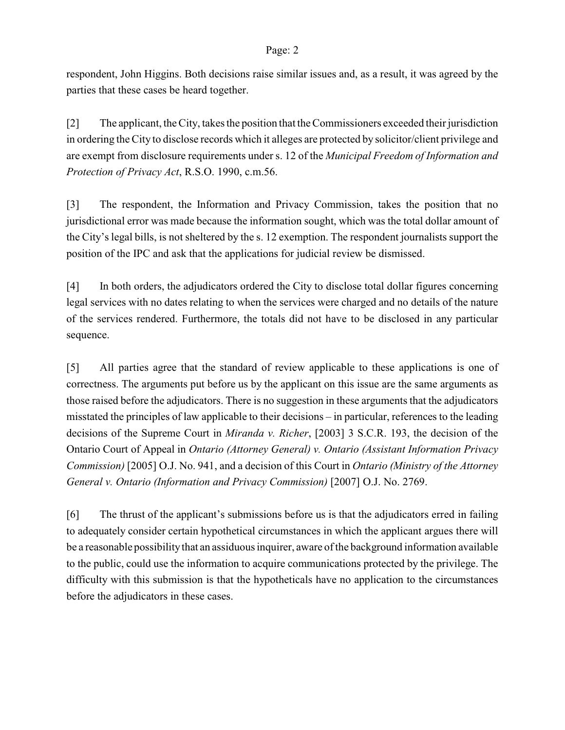#### Page: 2

respondent, John Higgins. Both decisions raise similar issues and, as a result, it was agreed by the parties that these cases be heard together.

[2] The applicant, the City, takes the position that the Commissioners exceeded their jurisdiction in ordering the City to disclose records which it alleges are protected by solicitor/client privilege and are exempt from disclosure requirements under s. 12 of the *Municipal Freedom of Information and Protection of Privacy Act*, R.S.O. 1990, c.m.56.

[3] The respondent, the Information and Privacy Commission, takes the position that no jurisdictional error was made because the information sought, which was the total dollar amount of the City's legal bills, is not sheltered by the s. 12 exemption. The respondent journalists support the position of the IPC and ask that the applications for judicial review be dismissed.

[4] In both orders, the adjudicators ordered the City to disclose total dollar figures concerning legal services with no dates relating to when the services were charged and no details of the nature of the services rendered. Furthermore, the totals did not have to be disclosed in any particular sequence.

[5] All parties agree that the standard of review applicable to these applications is one of correctness. The arguments put before us by the applicant on this issue are the same arguments as those raised before the adjudicators. There is no suggestion in these arguments that the adjudicators misstated the principles of law applicable to their decisions – in particular, references to the leading decisions of the Supreme Court in *Miranda v. Richer*, [2003] 3 S.C.R. 193, the decision of the Ontario Court of Appeal in *Ontario (Attorney General) v. Ontario (Assistant Information Privacy Commission)* [2005] O.J. No. 941, and a decision of this Court in *Ontario (Ministry of the Attorney General v. Ontario (Information and Privacy Commission)* [2007] O.J. No. 2769.

[6] The thrust of the applicant's submissions before us is that the adjudicators erred in failing to adequately consider certain hypothetical circumstances in which the applicant argues there will be a reasonable possibility that an assiduous inquirer, aware of the background information available to the public, could use the information to acquire communications protected by the privilege. The difficulty with this submission is that the hypotheticals have no application to the circumstances before the adjudicators in these cases.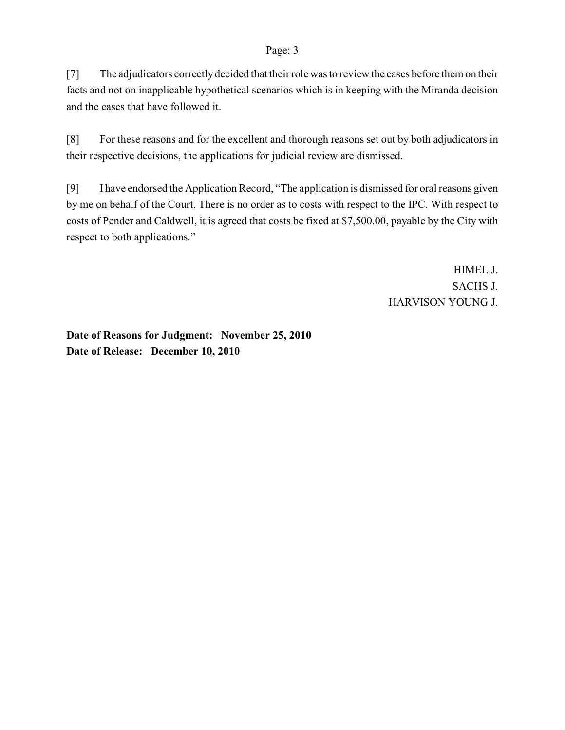#### Page: 3

[7] The adjudicators correctly decided that their role was to review the cases before them on their facts and not on inapplicable hypothetical scenarios which is in keeping with the Miranda decision and the cases that have followed it.

[8] For these reasons and for the excellent and thorough reasons set out by both adjudicators in their respective decisions, the applications for judicial review are dismissed.

[9] I have endorsed the Application Record, "The application is dismissed for oral reasons given by me on behalf of the Court. There is no order as to costs with respect to the IPC. With respect to costs of Pender and Caldwell, it is agreed that costs be fixed at \$7,500.00, payable by the City with respect to both applications."

> HIMEL J. SACHS J. HARVISON YOUNG J.

**Date of Reasons for Judgment: November 25, 2010 Date of Release: December 10, 2010**